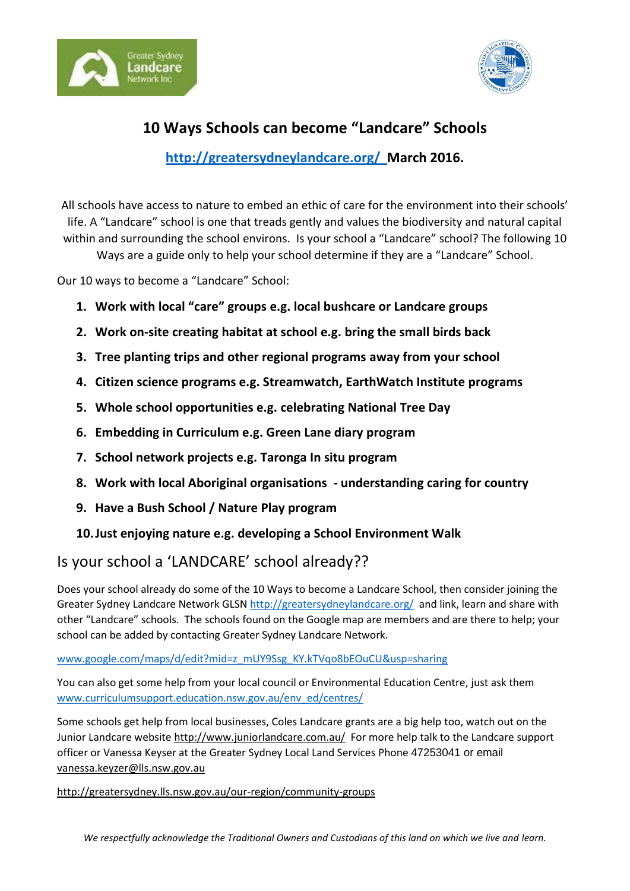



# **10 Ways Schools can become "Landcare" Schools**

### **<http://greatersydneylandcare.org/>March 2016.**

All schools have access to nature to embed an ethic of care for the environment into their schools' life. A "Landcare" school is one that treads gently and values the biodiversity and natural capital within and surrounding the school environs. Is your school a "Landcare" school? The following 10

Ways are a guide only to help your school determine if they are a "Landcare" School.

Our 10 ways to become a "Landcare" School:

- **1. Work with local "care" groups e.g. local bushcare or Landcare groups**
- **2. Work on-site creating habitat at school e.g. bring the small birds back**
- **3. Tree planting trips and other regional programs away from your school**
- **4. Citizen science programs e.g. Streamwatch, EarthWatch Institute programs**
- **5. Whole school opportunities e.g. celebrating National Tree Day**
- **6. Embedding in Curriculum e.g. Green Lane diary program**
- **7. School network projects e.g. Taronga In situ program**
- **8. Work with local Aboriginal organisations - understanding caring for country**
- **9. Have a Bush School / Nature Play program**

### **10.Just enjoying nature e.g. developing a School Environment Walk**

## Is your school a 'LANDCARE' school already??

Does your school already do some of the 10 Ways to become a Landcare School, then consider joining the Greater Sydney Landcare Network GLSN<http://greatersydneylandcare.org/> and link, learn and share with other "Landcare" schools. The schools found on the Google map are members and are there to help; your school can be added by contacting Greater Sydney Landcare Network.

#### [www.google.com/maps/d/edit?mid=z\\_mUY9Ssg\\_KY.kTVqo8bEOuCU&usp=sharing](http://www.google.com/maps/d/edit?mid=z_mUY9Ssg_KY.kTVqo8bEOuCU&usp=sharing)

You can also get some help from your local council or Environmental Education Centre, just ask them [www.curriculumsupport.education.nsw.gov.au/env\\_ed/centres/](http://www.curriculumsupport.education.nsw.gov.au/env_ed/centres/)

Some schools get help from local businesses, Coles Landcare grants are a big help too, watch out on the Junior Landcare websit[e http://www.juniorlandcare.com.au/](http://www.juniorlandcare.com.au/) For more help talk to the Landcare support officer or Vanessa Keyser at the Greater Sydney Local Land Services Phone 47253041 or email [vanessa.keyzer@lls.nsw.gov.au](mailto:vanessa.keyzer@lls.nsw.gov.au)

<http://greatersydney.lls.nsw.gov.au/our-region/community-groups>